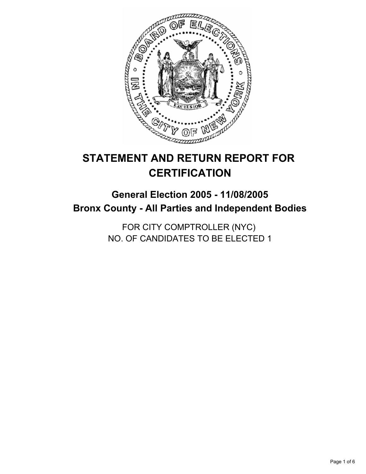

# **STATEMENT AND RETURN REPORT FOR CERTIFICATION**

## **General Election 2005 - 11/08/2005 Bronx County - All Parties and Independent Bodies**

FOR CITY COMPTROLLER (NYC) NO. OF CANDIDATES TO BE ELECTED 1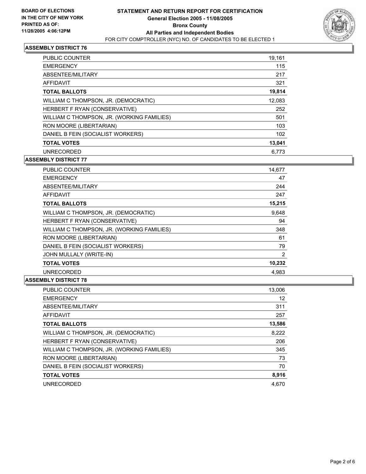

| PUBLIC COUNTER                             | 19,161 |
|--------------------------------------------|--------|
| <b>EMERGENCY</b>                           | 115    |
| ABSENTEE/MILITARY                          | 217    |
| AFFIDAVIT                                  | 321    |
| <b>TOTAL BALLOTS</b>                       | 19,814 |
| WILLIAM C THOMPSON, JR. (DEMOCRATIC)       | 12,083 |
| HERBERT F RYAN (CONSERVATIVE)              | 252    |
| WILLIAM C THOMPSON, JR. (WORKING FAMILIES) | 501    |
| RON MOORE (LIBERTARIAN)                    | 103    |
| DANIEL B FEIN (SOCIALIST WORKERS)          | 102    |
| <b>TOTAL VOTES</b>                         | 13,041 |
| <b>UNRECORDED</b>                          | 6.773  |

#### **ASSEMBLY DISTRICT 77**

| <b>PUBLIC COUNTER</b>                      | 14,677 |
|--------------------------------------------|--------|
| <b>EMERGENCY</b>                           | 47     |
| ABSENTEE/MILITARY                          | 244    |
| AFFIDAVIT                                  | 247    |
| <b>TOTAL BALLOTS</b>                       | 15,215 |
| WILLIAM C THOMPSON, JR. (DEMOCRATIC)       | 9,648  |
| HERBERT F RYAN (CONSERVATIVE)              | 94     |
| WILLIAM C THOMPSON, JR. (WORKING FAMILIES) | 348    |
| RON MOORE (LIBERTARIAN)                    | 61     |
| DANIEL B FEIN (SOCIALIST WORKERS)          | 79     |
| JOHN MULLALY (WRITE-IN)                    | 2      |
| <b>TOTAL VOTES</b>                         | 10,232 |
| <b>UNRECORDED</b>                          | 4,983  |

| PUBLIC COUNTER                             | 13,006 |
|--------------------------------------------|--------|
| <b>EMERGENCY</b>                           | 12     |
| ABSENTEE/MILITARY                          | 311    |
| <b>AFFIDAVIT</b>                           | 257    |
| <b>TOTAL BALLOTS</b>                       | 13,586 |
| WILLIAM C THOMPSON, JR. (DEMOCRATIC)       | 8,222  |
| HERBERT F RYAN (CONSERVATIVE)              | 206    |
| WILLIAM C THOMPSON, JR. (WORKING FAMILIES) | 345    |
| RON MOORE (LIBERTARIAN)                    | 73     |
| DANIEL B FEIN (SOCIALIST WORKERS)          | 70     |
| <b>TOTAL VOTES</b>                         | 8,916  |
| <b>UNRECORDED</b>                          | 4.670  |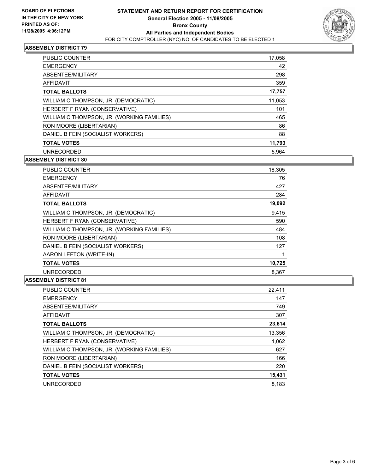

| <b>PUBLIC COUNTER</b>                      | 17,058 |
|--------------------------------------------|--------|
| <b>EMERGENCY</b>                           | 42     |
| ABSENTEE/MILITARY                          | 298    |
| AFFIDAVIT                                  | 359    |
| <b>TOTAL BALLOTS</b>                       | 17,757 |
| WILLIAM C THOMPSON, JR. (DEMOCRATIC)       | 11,053 |
| HERBERT F RYAN (CONSERVATIVE)              | 101    |
| WILLIAM C THOMPSON, JR. (WORKING FAMILIES) | 465    |
| RON MOORE (LIBERTARIAN)                    | 86     |
| DANIEL B FEIN (SOCIALIST WORKERS)          | 88     |
| <b>TOTAL VOTES</b>                         | 11,793 |
| <b>UNRECORDED</b>                          | 5.964  |

**ASSEMBLY DISTRICT 80**

| <b>PUBLIC COUNTER</b>                      | 18,305 |
|--------------------------------------------|--------|
| <b>EMERGENCY</b>                           | 76     |
| ABSENTEE/MILITARY                          | 427    |
| AFFIDAVIT                                  | 284    |
| <b>TOTAL BALLOTS</b>                       | 19,092 |
| WILLIAM C THOMPSON, JR. (DEMOCRATIC)       | 9,415  |
| HERBERT F RYAN (CONSERVATIVE)              | 590    |
| WILLIAM C THOMPSON, JR. (WORKING FAMILIES) | 484    |
| RON MOORE (LIBERTARIAN)                    | 108    |
| DANIEL B FEIN (SOCIALIST WORKERS)          | 127    |
| AARON LEFTON (WRITE-IN)                    |        |
| <b>TOTAL VOTES</b>                         | 10,725 |
| <b>UNRECORDED</b>                          | 8.367  |

| <b>PUBLIC COUNTER</b>                      | 22,411 |
|--------------------------------------------|--------|
| <b>EMERGENCY</b>                           | 147    |
| ABSENTEE/MILITARY                          | 749    |
| AFFIDAVIT                                  | 307    |
| <b>TOTAL BALLOTS</b>                       | 23,614 |
| WILLIAM C THOMPSON, JR. (DEMOCRATIC)       | 13,356 |
| HERBERT F RYAN (CONSERVATIVE)              | 1,062  |
| WILLIAM C THOMPSON, JR. (WORKING FAMILIES) | 627    |
| RON MOORE (LIBERTARIAN)                    | 166    |
| DANIEL B FEIN (SOCIALIST WORKERS)          | 220    |
| <b>TOTAL VOTES</b>                         | 15,431 |
| <b>UNRECORDED</b>                          | 8.183  |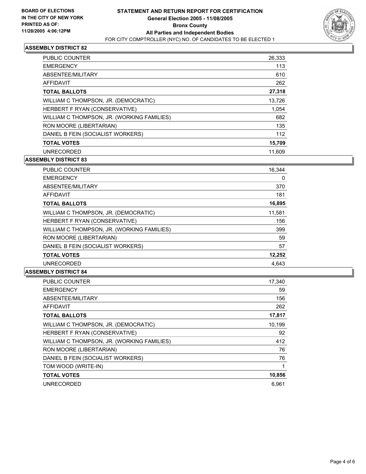

| <b>PUBLIC COUNTER</b>                      | 26,333 |
|--------------------------------------------|--------|
| <b>EMERGENCY</b>                           | 113    |
| ABSENTEE/MILITARY                          | 610    |
| AFFIDAVIT                                  | 262    |
| <b>TOTAL BALLOTS</b>                       | 27,318 |
| WILLIAM C THOMPSON, JR. (DEMOCRATIC)       | 13,726 |
| HERBERT F RYAN (CONSERVATIVE)              | 1,054  |
| WILLIAM C THOMPSON, JR. (WORKING FAMILIES) | 682    |
| RON MOORE (LIBERTARIAN)                    | 135    |
| DANIEL B FEIN (SOCIALIST WORKERS)          | 112    |
| <b>TOTAL VOTES</b>                         | 15,709 |
| <b>UNRECORDED</b>                          | 11,609 |

#### **ASSEMBLY DISTRICT 83**

| PUBLIC COUNTER                             | 16,344 |
|--------------------------------------------|--------|
| <b>EMERGENCY</b>                           | 0      |
| ABSENTEE/MILITARY                          | 370    |
| <b>AFFIDAVIT</b>                           | 181    |
| <b>TOTAL BALLOTS</b>                       | 16,895 |
| WILLIAM C THOMPSON, JR. (DEMOCRATIC)       | 11,581 |
| HERBERT F RYAN (CONSERVATIVE)              | 156    |
| WILLIAM C THOMPSON, JR. (WORKING FAMILIES) | 399    |
| RON MOORE (LIBERTARIAN)                    | 59     |
| DANIEL B FEIN (SOCIALIST WORKERS)          | 57     |
| <b>TOTAL VOTES</b>                         | 12,252 |
| <b>UNRECORDED</b>                          | 4.643  |

| <b>PUBLIC COUNTER</b>                      | 17,340 |
|--------------------------------------------|--------|
| <b>EMERGENCY</b>                           | 59     |
| ABSENTEE/MILITARY                          | 156    |
| AFFIDAVIT                                  | 262    |
| <b>TOTAL BALLOTS</b>                       | 17,817 |
| WILLIAM C THOMPSON, JR. (DEMOCRATIC)       | 10,199 |
| HERBERT F RYAN (CONSERVATIVE)              | 92     |
| WILLIAM C THOMPSON, JR. (WORKING FAMILIES) | 412    |
| RON MOORE (LIBERTARIAN)                    | 76     |
| DANIEL B FEIN (SOCIALIST WORKERS)          | 76     |
| TOM WOOD (WRITE-IN)                        |        |
| <b>TOTAL VOTES</b>                         | 10,856 |
| <b>UNRECORDED</b>                          | 6.961  |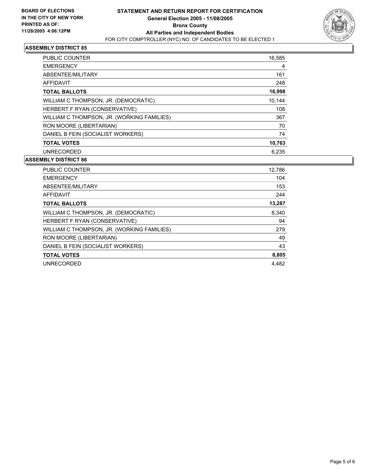

| PUBLIC COUNTER                             | 16,585 |
|--------------------------------------------|--------|
| <b>EMERGENCY</b>                           | 4      |
| ABSENTEE/MILITARY                          | 161    |
| AFFIDAVIT                                  | 248    |
| <b>TOTAL BALLOTS</b>                       | 16,998 |
| WILLIAM C THOMPSON, JR. (DEMOCRATIC)       | 10,144 |
| HERBERT F RYAN (CONSERVATIVE)              | 108    |
| WILLIAM C THOMPSON, JR. (WORKING FAMILIES) | 367    |
| RON MOORE (LIBERTARIAN)                    | 70     |
| DANIEL B FEIN (SOCIALIST WORKERS)          | 74     |
| <b>TOTAL VOTES</b>                         | 10,763 |
| <b>UNRECORDED</b>                          | 6.235  |

| PUBLIC COUNTER                             | 12,786 |
|--------------------------------------------|--------|
| <b>EMERGENCY</b>                           | 104    |
| ABSENTEE/MILITARY                          | 153    |
| AFFIDAVIT                                  | 244    |
| <b>TOTAL BALLOTS</b>                       | 13,287 |
| WILLIAM C THOMPSON, JR. (DEMOCRATIC)       | 8,340  |
| HERBERT F RYAN (CONSERVATIVE)              | 94     |
| WILLIAM C THOMPSON, JR. (WORKING FAMILIES) | 279    |
| RON MOORE (LIBERTARIAN)                    | 49     |
| DANIEL B FEIN (SOCIALIST WORKERS)          | 43     |
| <b>TOTAL VOTES</b>                         | 8,805  |
| UNRECORDED                                 | 4.482  |